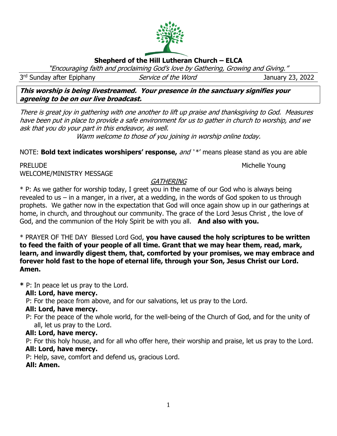# **Shepherd of the Hill Lutheran Church – ELCA**

"Encouraging faith and proclaiming God's love by Gathering, Growing and Giving."

3rd Sunday after Epiphany **Service of the Word** Sunday 3, 2022

**This worship is being livestreamed. Your presence in the sanctuary signifies your agreeing to be on our live broadcast.** 

There is great joy in gathering with one another to lift up praise and thanksgiving to God. Measures have been put in place to provide a safe environment for us to gather in church to worship, and we ask that you do your part in this endeavor, as well.

Warm welcome to those of you joining in worship online today.

NOTE: **Bold text indicates worshipers' response,** and ' \*' means please stand as you are able

#### PRELUDE Nichelle Young WELCOME/MINISTRY MESSAGE

## **GATHERING**

\* P: As we gather for worship today, I greet you in the name of our God who is always being revealed to us – in a manger, in a river, at a wedding, in the words of God spoken to us through prophets. We gather now in the expectation that God will once again show up in our gatherings at home, in church, and throughout our community. The grace of the Lord Jesus Christ , the love of God, and the communion of the Holy Spirit be with you all. **And also with you.**

\* PRAYER OF THE DAY Blessed Lord God, **you have caused the holy scriptures to be written to feed the faith of your people of all time. Grant that we may hear them, read, mark, learn, and inwardly digest them, that, comforted by your promises, we may embrace and forever hold fast to the hope of eternal life, through your Son, Jesus Christ our Lord. Amen.**

**\*** P: In peace let us pray to the Lord.

 **All: Lord, have mercy.**

P: For the peace from above, and for our salvations, let us pray to the Lord.

## **All: Lord, have mercy.**

 P: For the peace of the whole world, for the well-being of the Church of God, and for the unity of all, let us pray to the Lord.

## **All: Lord, have mercy.**

 P: For this holy house, and for all who offer here, their worship and praise, let us pray to the Lord.  **All: Lord, have mercy.**

P: Help, save, comfort and defend us, gracious Lord.

## **All: Amen.**

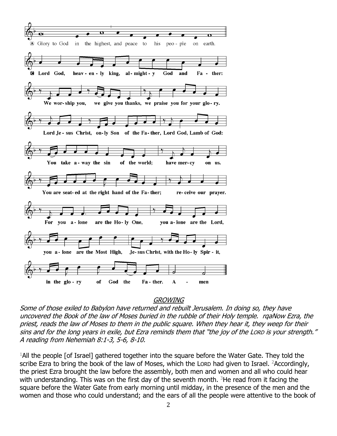

#### **GROWING**

Some of those exiled to Babylon have returned and rebuilt Jerusalem. In doing so, they have uncovered the Book of the law of Moses buried in the rubble of their Holy temple. rqaNow Ezra, the priest, reads the law of Moses to them in the public square. When they hear it, they weep for their sins and for the long years in exile, but Ezra reminds them that "the joy of the LORD is your strength." A reading from Nehemiah 8:1-3, 5-6, 8-10.

<sup>1</sup>All the people [of Israel] gathered together into the square before the Water Gate. They told the scribe Ezra to bring the book of the law of Moses, which the LORD had given to Israel. <sup>2</sup>Accordingly, the priest Ezra brought the law before the assembly, both men and women and all who could hear with understanding. This was on the first day of the seventh month.  $3$ He read from it facing the square before the Water Gate from early morning until midday, in the presence of the men and the women and those who could understand; and the ears of all the people were attentive to the book of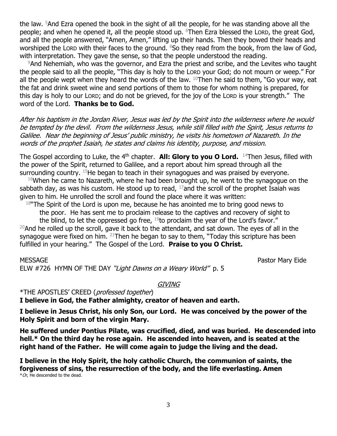the law. <sup>5</sup>And Ezra opened the book in the sight of all the people, for he was standing above all the people; and when he opened it, all the people stood up. <sup>6</sup>Then Ezra blessed the LORD, the great God, and all the people answered, "Amen, Amen," lifting up their hands. Then they bowed their heads and worshiped the LORD with their faces to the ground. <sup>8</sup>So they read from the book, from the law of God, with interpretation. They gave the sense, so that the people understood the reading.

 $9$ And Nehemiah, who was the governor, and Ezra the priest and scribe, and the Levites who taught the people said to all the people, "This day is holy to the LORD your God; do not mourn or weep." For all the people wept when they heard the words of the law.  $10$ Then he said to them, "Go your way, eat the fat and drink sweet wine and send portions of them to those for whom nothing is prepared, for this day is holy to our LORD; and do not be grieved, for the joy of the LORD is your strength."The word of the Lord. **Thanks be to God.**

After his baptism in the Jordan River, Jesus was led by the Spirit into the wilderness where he would be tempted by the devil. From the wilderness Jesus, while still filled with the Spirit, Jesus returns to Galilee. Near the beginning of Jesus' public ministry, he visits his hometown of Nazareth. In the words of the prophet Isaiah, he states and claims his identity, purpose, and mission.

The Gospel according to Luke, the 4<sup>th</sup> chapter. **All: Glory to you O Lord.** <sup>14</sup>Then Jesus, filled with the power of the Spirit, returned to Galilee, and a report about him spread through all the surrounding country.  $15$ He began to teach in their synagogues and was praised by everyone.

 $16$ When he came to Nazareth, where he had been brought up, he went to the synagogue on the sabbath day, as was his custom. He stood up to read,  $^{17}$ and the scroll of the prophet Isaiah was given to him. He unrolled the scroll and found the place where it was written:

 $18$ "The Spirit of the Lord is upon me, because he has anointed me to bring good news to the poor. He has sent me to proclaim release to the captives and recovery of sight to

the blind, to let the oppressed go free,  $19$  to proclaim the year of the Lord's favor." <sup>20</sup>And he rolled up the scroll, gave it back to the attendant, and sat down. The eyes of all in the synagogue were fixed on him.  $21$ Then he began to say to them, "Today this scripture has been fulfilled in your hearing." The Gospel of the Lord. **Praise to you O Christ.**

MESSAGE Pastor Mary Eide

ELW #726 HYMN OF THE DAY "Light Dawns on a Weary World" p. 5

**GIVING** 

\*THE APOSTLES' CREED (professed together) **I believe in God, the Father almighty, creator of heaven and earth.**

**I believe in Jesus Christ, his only Son, our Lord. He was conceived by the power of the Holy Spirit and born of the virgin Mary.**

**He suffered under Pontius Pilate, was crucified, died, and was buried. He descended into hell.\* On the third day he rose again. He ascended into heaven, and is seated at the right hand of the Father. He will come again to judge the living and the dead.**

**I believe in the Holy Spirit, the holy catholic Church, the communion of saints, the forgiveness of sins, the resurrection of the body, and the life everlasting. Amen**  $*$  Or, He descended to the dead.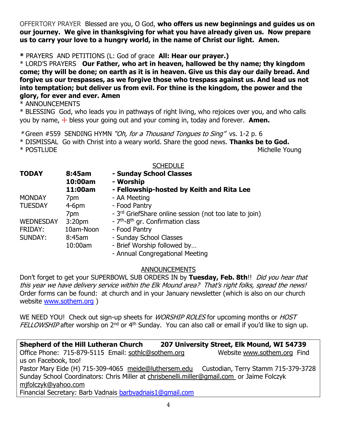OFFERTORY PRAYER Blessed are you, O God, **who offers us new beginnings and guides us on our journey. We give in thanksgiving for what you have already given us. Now prepare us to carry your love to a hungry world, in the name of Christ our light. Amen.**

**\*** PRAYERS AND PETITIONS (L: God of grace **All: Hear our prayer.)**

\* LORD'S PRAYERS **Our Father, who art in heaven, hallowed be thy name; thy kingdom come; thy will be done; on earth as it is in heaven. Give us this day our daily bread. And forgive us our trespasses, as we forgive those who trespass against us. And lead us not into temptation; but deliver us from evil. For thine is the kingdom, the power and the glory, for ever and ever. Amen**

\* ANNOUNCEMENTS

\* BLESSING God, who leads you in pathways of right living, who rejoices over you, and who calls you by name, ☩ bless your going out and your coming in, today and forever. **Amen.**

\* Green #559SENDING HYMN "Oh, for a Thousand Tongues to Sing" vs. 1-2 p. 6 \* DISMISSAL Go with Christ into a weary world. Share the good news. **Thanks be to God.** \* POSTLUDE Michelle Young

|                  |                    | <b>SCHEDULE</b>                                           |
|------------------|--------------------|-----------------------------------------------------------|
| <b>TODAY</b>     | 8:45am             | - Sunday School Classes                                   |
|                  | 10:00am            | - Worship                                                 |
|                  | 11:00am            | - Fellowship-hosted by Keith and Rita Lee                 |
| <b>MONDAY</b>    | 7pm                | - AA Meeting                                              |
| <b>TUESDAY</b>   | $4-6pm$            | - Food Pantry                                             |
|                  | 7pm                | - 3rd GriefShare online session (not too late to join)    |
| <b>WEDNESDAY</b> | 3:20 <sub>pm</sub> | - 7 <sup>th</sup> -8 <sup>th</sup> gr. Confirmation class |
| FRIDAY:          | 10am-Noon          | - Food Pantry                                             |
| <b>SUNDAY:</b>   | 8:45am             | - Sunday School Classes                                   |
|                  | 10:00am            | - Brief Worship followed by                               |
|                  |                    | - Annual Congregational Meeting                           |

### ANNOUNCEMENTS

Don't forget to get your SUPERBOWL SUB ORDERS IN by Tuesday, Feb. 8th!! Did you hear that this year we have delivery service within the Elk Mound area? That's right folks, spread the news! Order forms can be found: at church and in your January newsletter (which is also on our church website [www.sothem.org](http://www.sothem.org/) )

WE NEED YOU! Check out sign-up sheets for *WORSHIP ROLES* for upcoming months or *HOST* FELLOWSHIP after worship on 2<sup>nd</sup> or 4<sup>th</sup> Sunday. You can also call or email if you'd like to sign up.

**Shepherd of the Hill Lutheran Church 207 University Street, Elk Mound, WI 54739** Office Phone: 715-879-5115 Email: [sothlc@sothem.org](mailto:sothlc@sothem.org) Website [www.sothem.org](http://www.sothem.org/) Find us on Facebook, too! Pastor Mary Eide (H) 715-309-4065 [meide@luthersem.edu](mailto:meide@luthersem.edu) Custodian, Terry Stamm 715-379-3728 Sunday School Coordinators: Chris Miller at [chrisbenelli.miller@gmail.com](mailto:chrisbenelli.miller@gmail.com) or Jaime Folczyk [mjfolczyk@yahoo.com](mailto:mjfolczyk@yahoo.com) Financial Secretary: Barb Vadnais [barbvadnais1@gmail.com](mailto:barbvadnais1@gmail.com)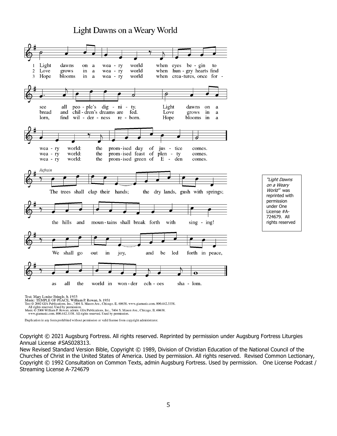## Light Dawns on a Weary World



"Light Dawns on a Weary World" was reprinted with permission under One License #A-724679. All rights reserved

Text: Mary Louise Bringle, b. 1953<br>Music: TEMPLE OF PEACE, William P. Rowan, b. 1951<br>Text © 2002 GIA Publications. Inc., 7404 S. Mason Ave., Chicago, IL 60638. www.giamusic.com. 800.442.3358.<br>All rights reserved. Used by p

Duplication in any form prohibited without permission or valid license from copyright administrator.

Copyright © 2021 Augsburg Fortress. All rights reserved. Reprinted by permission under Augsburg Fortress Liturgies Annual License #SAS028313.

New Revised Standard Version Bible, Copyright © 1989, Division of Christian Education of the National Council of the Churches of Christ in the United States of America. Used by permission. All rights reserved. Revised Common Lectionary, Copyright © 1992 Consultation on Common Texts, admin Augsburg Fortress. Used by permission. One License Podcast / Streaming License A-724679